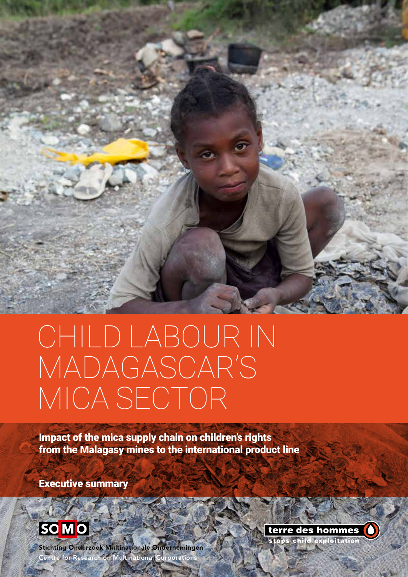

# CHILD LABOUR IN MADAGASCAR'S MICA SECTOR

**Impact of the mica supply chain on children's rights** from the Malagasy mines to the international product line

Executive summary



**Stichting Onderzoek Multinationale Ondernemingen** Centre for Research on Multinational Corporations

terre des hommes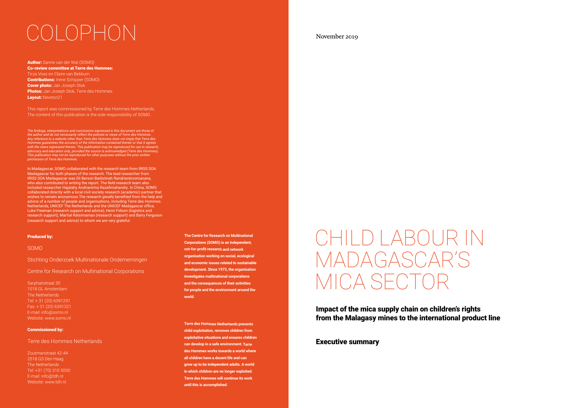## November 2019

Impact of the mica supply chain on children's rights from the Malagasy mines to the international product line

Author: Sanne van der Wal (SOMO) Co-review committee at Terre des Hommes: Tirza Voss en Claire van Bekkum **Contributions:** Irene Schipper (SOMO) **Cover photo:** Jan Joseph Stok Photos: Jan Joseph Stok, Terre des Hommes Layout: Newton21

## Executive summary



# CHILD LABOUR IN MADAGASCAR'S MICA SECTOR

This report was commissioned by Terre des Hommes Netherlands. The content of this publication is the sole responsibility of SOMO.

*The findings, interpretations and conclusions expressed in this document are those of the author and do not necessarily reflect the policies or views of Terre des Hommes. Any reference to a website other than Terre des Hommes does not imply that Terre des Hommes guarantees the accuracy of the information contained therein or that it agrees with the views expressed therein. This publication may be reproduced for use in research, advocacy and education only, provided the source is acknowledged (Terre des Hommes). This publication may not be reproduced for other purposes without the prior written permission of Terre des Hommes.* 

In Madagascar, SOMO collaborated with the research team from IRISS SOA Madagascar for both phases of the research. The lead researcher from IRISS SOA Madagascar was Eli Berson Badistinah Randriantovomanana, who also contributed to writing the report. The field research team also included researcher Hajalahy Andrianirina Razafimahandry. In China, SOMO collaborated directly with a local civil society research (academic) partner that wishes to remain anonymous.The research greatly benefited from the help and advice of a number of people and organisations, including Terre des Hommes Netherlands, UNICEF The Netherlands and the UNICEF Madagascar office, Luke Freeman (research support and advice), Henri Fidson (logistics and research support), Martial Ratsimamao (research support) and Barry Ferguson (research support and advice) to whom we are very grateful.

### Produced by:

#### SOMO

Stichting Onderzoek Multinationale Ondernemingen

Centre for Research on Multinational Corporations

#### Sarphatistraat 30

1018 GL Amsterdam The Netherlands Tel: + 31 (20) 6391291 Fax: + 31 (20) 6391321 E-mail: info@somo.nl Website: www.somo.nl

### Commissioned by:

### Terre des Hommes Netherlands

Zoutmanstraat 42-44 2518 GS Den Haag The Netherlands Tel: +31 (70) 310 5000 E-mail: info@tdh.nl Website: www.tdh.nl

**The Centre for Research on Multinational Corporations (SOMO) is an independent, not-for-profit research and network organisation working on social, ecological and economic issues related to sustainable development. Since 1973, the organisation investigates multinational corporations and the consequences of their activities for people and the environment around the world.**

**Terre des Hommes Netherlands prevents child exploitation, removes children from exploitative situations and ensures children can develop in a safe environment. Terre des Hommes works towards a world where all children have a decent life and can grow up to be independent adults. A world in which children are no longer exploited. Terre des Hommes will continue its work until this is accomplished.**

# COLOPHON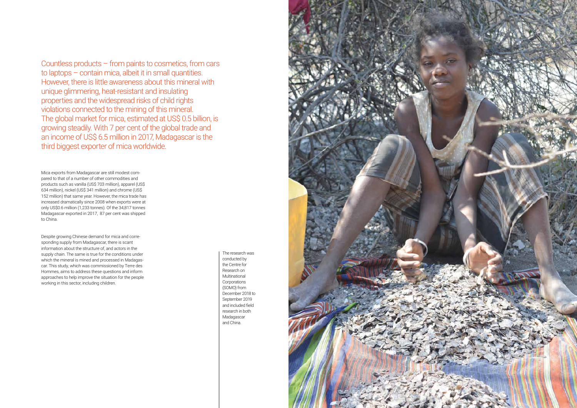Countless products – from paints to cosmetics, from cars to laptops – contain mica, albeit it in small quantities. However, there is little awareness about this mineral with unique glimmering, heat-resistant and insulating properties and the widespread risks of child rights violations connected to the mining of this mineral. The global market for mica, estimated at US\$ 0.5 billion, is growing steadily. With 7 per cent of the global trade and an income of US\$ 6.5 million in 2017, Madagascar is the third biggest exporter of mica worldwide.

> The research was conducted by the Centre for Research on Multinational Corporations (SOMO) from December 2018 to September 2019 and included field research in both Madagascar and China.



Mica exports from Madagascar are still modest compared to that of a number of other commodities and products such as vanilla (US\$ 703 million), apparel (US\$ 634 million), nickel (US\$ 341 million) and chrome (US\$ 152 million) that same year. However, the mica trade has increased dramatically since 2008 when exports were at only US\$0.6 million (1,233 tonnes). Of the 34,817 tonnes Madagascar exported in 2017, 87 per cent was shipped to China.

Despite growing Chinese demand for mica and corresponding supply from Madagascar, there is scant information about the structure of, and actors in the supply chain. The same is true for the conditions under which the mineral is mined and processed in Madagascar. This study, which was commissioned by Terre des Hommes, aims to address these questions and inform approaches to help improve the situation for the people working in this sector, including children.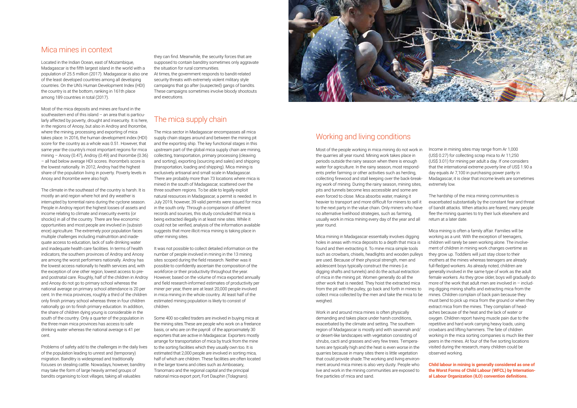## Mica mines in context

Located in the Indian Ocean, east of Mozambique, Madagascar is the fifth largest island in the world with a population of 25.5 million (2017). Madagascar is also one of the least developed countries among all developing countries. On the UN's Human Development Index (HDI) the country is at the bottom, ranking in 161th place among 189 countries in total (2017).

Most of the mica deposits and mines are found in the southeastern end of this island – an area that is particularly affected by poverty, drought and insecurity. It is here, in the regions of Anosy, but also in Androy and Ihorombe, where the mining, processing and exporting of mica takes place. In 2016, the human development index (HDI) score for the country as a whole was 0.51. However, that same year the country's most important regions for mica mining – Anosy (0.47), Androy (0.49) and Ihorombe (0.36) – all had below average HDI scores. Ihorombe's score is the lowest nationally. In 2012, Androy had the highest share of the population living in poverty. Poverty levels in Anosy and Ihorombe were also high.

The climate in the southeast of the country is harsh. It is mostly an arid region where hot and dry weather is interrupted by torrential rains during the cyclone season. People in Androy report the highest losses of assets and income relating to climate and insecurity events (or shocks) in all of the country. There are few economic opportunities and most people are involved in (subsistence) agriculture. The extremely poor population faces multiple challenges including malnutrition and inadequate access to education, lack of safe drinking water and inadequate health care facilities. In terms of health indicators, the southern provinces of Androy and Anosy are among the worst performers nationally. Androy has the lowest access nationally to health services and, with the exception of one other region, lowest access to preand postnatal care. Roughly, half of the children in Androy and Anosy do not go to primary school whereas the national average on primary school attendance is 20 per cent. In the mica provinces, roughly a third of the children only finish primary school whereas three in four children nationally go on to finish primary education. In addition, the share of children dying young is considerable in the south of the country. Only a quarter of the population in the three main mica provinces has access to safe drinking water whereas the national average is 41 per cent.

Problems of safety add to the challenges in the daily lives of the population leading to unrest and (temporary) migration. Banditry is widespread and traditionally focuses on stealing cattle. Nowadays, however, banditry may take the form of large heavily armed groups of bandits organising to loot villages, taking all valuables

they can find. Meanwhile, the security forces that are supposed to contain banditry sometimes only aggravate the situation for rural communities.

At times, the government responds to bandit-related security threats with extremely violent military style campaigns that go after (suspected) gangs of bandits. These campaigns sometimes involve bloody shootouts and executions.

> Mica mining in Madagascar essentially involves digging holes in areas with mica deposits to a depth that mica is found and then extracting it. To mine mica simple tools such as crowbars, chisels, headlights and wooden pulleys are used. Because of their physical strength, men and adolescent boys typically construct the mines (i.e. digging shafts and tunnels) and do the actual extraction of mica in the mining pit. Women generally do all the other work that is needed. They hoist the extracted mica from the pit with the pulley, go back and forth in mines to collect mica collected by the men and take the mica to be weighed

# The mica supply chain

The mica sector in Madagascar encompasses all mica supply chain stages around and between the mining pit and the exporting ship. The key functional stages in this upstream part of the global mica supply chain are mining, collecting, transportation, primary processing (cleaving and sorting), exporting (sourcing and sales) and shipping (transportation, loading and shipping). Mica mining is exclusively artisanal and small scale in Madagascar. There are probably more than 73 locations where mica is mined in the south of Madagascar, scattered over the three southern regions. To be able to legally exploit natural resources in Madagascar, a permit is needed. In July 2019, however, 39 valid permits were issued for mica in the south only. Through a comparison of different records and sources, this study concluded that mica is being extracted illegally in at least nine sites. While it could not be verified, analysis of the information available suggests that more illicit mica mining is taking place in other mining sites.

It was not possible to collect detailed information on the number of people involved in mining in the 13 mining sites scoped during the field research. Neither was it possible to confidently ascertain the composition of the workforce or their productivity throughout the year. However, based on the volume of mica exported annually and field research-informed estimates of productivity per miner per year, there are at least 20,000 people involved in mica mining in the whole country. At least half of the estimated mining population is likely to consist of children.

Some 400 so-called traders are involved in buying mica at the mining sites.These are people who work on a freelance basis, or who are on the payroll of the approximately 30 exporters that are active in Madagascar. Exporters mostly arrange for transportation of mica by truck from the mine to the sorting facilities which they usually own too. It is estimated that 2,000 people are involved in sorting mica, half of which are children. These facilities are often located in the larger towns and cities such as Amboasary, Tranomaro and the regional capital and the principal national mica export port, Fort Dauphin (Tolagnaro).



# Working and living conditions

Most of the people working in mica mining do not work in the quarries all year round. Mining work takes place in periods outside the rainy season when there is enough water for agriculture. In the rainy season, most respondents prefer farming or other activities such as herding, collecting firewood and stall keeping over the back-breaking work of mining. During the rainy season, mining sites, pits and tunnels become less accessible and some are even forced to close. Mica absorbs water, making it heavier to transport and more difficult for miners to sell it to the next party in the value chain. Only miners who have no alternative livelihood strategies, such as farming, usually work in mica mining every day of the year and all year round.

Work in and around mica mines is often physically demanding and takes place under harsh conditions, exacerbated by the climate and setting. The southern region of Madagascar is mostly arid with savannah and/ or desert-like landscapes with vegetation consisting of shrubs, cacti and grasses and very few trees. Temperatures are typically high and the heat is even worse in the quarries because in many sites there is little vegetation that could provide shade.The working and living environment around mica mines is also very dusty. People who live and work in the mining communities are exposed to fine particles of mica and sand.

Income in mining sites may range from Ar 1,000 (US\$ 0.27) for collecting scrap mica to Ar 11,250 (US\$ 3.01) for mining per adult a day. If one considers that the international extreme poverty line of US\$ 1.90 a day equals Ar 7,100 in purchasing power parity in Madagascar, it is clear that income levels are sometimes extremely low.

The hardship of the mica mining communities is exacerbated substantially by the constant fear and threat of bandit attacks. When attacks are feared, many people flee the mining quarries to try their luck elsewhere and return at a later date.

Mica mining is often a family affair. Families will be working as a unit. With the exception of teenagers, children will rarely be seen working alone. The involvement of children in mining work changes overtime as they grow up. Toddlers will just stay close to their mothers at the mines whereas teenagers are already full-fledged workers. As already noted, children are generally involved in the same type of work as the adult female workers. As they grow older, boys will gradually do more of the work that adult men are involved in  $-$  including digging mining shafts and extracting mica from the mines. Children complain of back pain because they must bend to pick up mica from the ground or when they extract mica from the mines. They complain of headaches because of the heat and the lack of water or oxygen. Children report having muscle pain due to the repetitive and hard work carrying heavy loads, using crowbars and lifting hammers. The fate of children working in the mica sorting companies is much like their peers in the mines. At four of the five sorting locations visited during the research, many children could be observed working.

**Child labour in mining is generally considered as one of the Worst Forms of Child Labour (WFCL) by International Labour Organization (ILO) convention definitions.**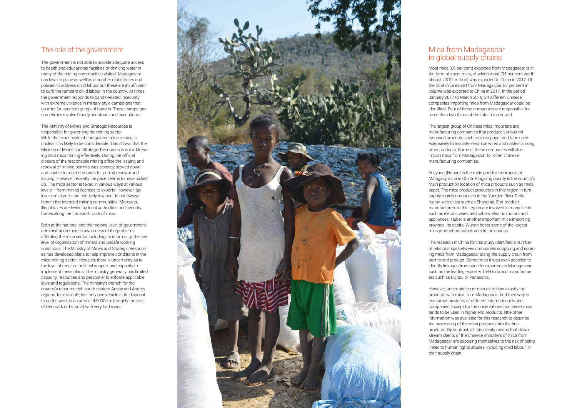## The role of the government

The government is not able to provide adequate access to health and educational facilities or drinking water in many of the mining communities visited. Madagascar has laws in place as well as a number of institutes and policies to address child labour but these are insufficient to curb the rampant child labour in the country. At times, the government responds to bandit-related insecurity with extreme violence in military style campaigns that go after (suspected) gangs of bandits. These campaigns sometimes involve bloody shootouts and executions.

The Ministry of Mines and Strategic Resources is responsible for governing the mining sector. While the exact scale of unregulated mica mining is unclear, it is likely to be considerable. This shows that the Ministry of Mines and Strategic Resources is not address ing illicit mica mining effectively. During the official closure of the responsible mining office the issuing and renewal of mining permits was severely slowed down and unable to meet demands for permit renewal and issuing. However, recently the pace seems to have picked up. The mica sector is taxed in various ways at various levels – from mining licences to exports. However, tax levels on exports are relatively low and do not always benefit the intended mining communities. Moreover, illegal taxes are levied by local authorities and security forces along the transport route of mica.

Both at the national and the regional level of government administration there is awareness of the problems affecting the mica sector including its informality, the low level of organisation of miners and unsafe working conditions. The Ministry of Mines and Strategic Resourc es has developed plans to help improve conditions in the mica mining sector. However, there is uncertainty as to the level of required political support and capacity to implement these plans. The ministry generally has limited capacity, resources and personnel to enforce applicable laws and regulations. The ministry's branch for the country's resource-rich south-eastern Anosy and Androy regions, for example, has only one vehicle at its disposal to do the work in an area of 45,000 km(roughly the size of Denmark or Estonia) with very bad roads.



# Mica from Madagascar in global supply chains

Most mica (66 per cent) exported from Madagascar is in the form of sheet mica, of which most (95 per cent worth almost US \$4 million) was exported to China in 2017. Of the total mica export from Madagascar, 87 per cent in volume was exported to China in 2017. In the period January 2017 to March 2018, 24 different Chinese companies importing mica from Madagascar could be identified. Four of these companies are responsible for more than two thirds of the total mica import.

The largest group of Chinese mica importers are manufacturing companies that produce various mi ca-based products such as mica paper and tape used extensively to insulate electrical wires and cables, among other products. Some of these companies will also import mica from Madagascar for other Chinese manufacturing companies.

Yueyang (Hunan) is the main port for the import of Malagasy mica in China. Pingjiang county is the country's main production location of mica products such as mica paper. The mica product producers in this region in turn supply mainly companies in the Yangtze River Delta region with cities such as Shanghai. End-product manufacturers in this region are involved in many fields such as electric wires and cables, electric motors and appliances. Hubei is another important mica-importing province. Its capital Wuhan hosts some of the largest mica product manufacturers in the country.

The research in China for this study identified a number of relationships between companies supplying and sourc ing mica from Madagascar along the supply chain from port to end product. Sometimes it was even possible to identify linkages from specific exporters in Madagascar such as the leading exporter Tri-H to brand manufactur ers such as Fujitsu or Panasonic.

However, uncertainties remain as to how exactly the products with mica from Madagascar find their way in consumer products of different international brand companies. Except for the observations that sheet mica tends to be used in higher end products, little other information was available for this research to describe the processing of the mica products into the final products. By contrast, all this clearly means that down stream clients of the Chinese importers of mica from Madagascar are exposing themselves to the risk of being linked to human rights abuses, including child labour, in their supply chain.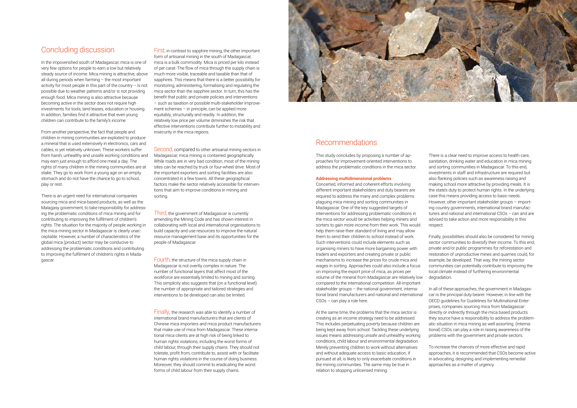## Concluding discussion

In the impoverished south of Madagascar, mica is one of very few options for people to earn a low but relatively steady source of income. Mica mining is attractive, above all during periods when farming – the most important activity for most people in this part of the country – is not possible due to weather patterns and/or is not providing enough food. Mica mining is also attractive because becoming active in the sector does not require high investments for tools, land leases, education or housing. In addition, families find it attractive that even young children can contribute to the family's income.

From another perspective, the fact that people and children in mining communities are exploited to produce a mineral that is used extensively in electronics, cars and cables, is yet relatively unknown. These workers suffer from harsh, unhealthy and unsafe working conditions and may earn just enough to afford one meal a day. The rights of many children in the mining communities are at stake. They go to work from a young age on an empty stomach and do not have the chance to go to school, play or rest.

There is an urgent need for international companies sourcing mica and mica-based products, as well as the Malagasy government, to take responsibility for addressing the problematic conditions of mica mining and for contributing to improving the fulfilment of children's rights. The situation for the majority of people working in the mica mining sector in Madagascar is clearly unacceptable. However, a number of characteristics of the global mica (product) sector may be conducive to addressing the problematic conditions and contributing to improving the fulfilment of children's rights in Madagascar.

Second, compared to other artisanal mining sectors in Madagascar, mica mining is contained geographically. While roads are in very bad condition, most of the mining sites can be reached by truck or four-wheel drive. Most of the important exporters and sorting facilities are also concentrated in a few towns. All these geographical factors make the sector relatively accessible for interventions that aim to improve conditions in mining and sorting.

First, in contrast to sapphire mining, the other important form of artisanal mining in the south of Madagascar, mica is a bulk commodity. Mica is priced per kilo instead of per carat. The flow of mica through the supply chain is much more visible, traceable and taxable than that of sapphires. This means that there is a better possibility for monitoring, administering, formalising and regulating the mica sector than the sapphire sector. In turn, this has the benefit that public and private policies and interventions – such as taxation or possible multi-stakeholder improvement schemes – in principle, can be applied more equitably, structurally and readily. In addition, the relatively low price per volume diminishes the risk that effective interventions contribute further to instability and insecurity in the mica regions.

Third, the government of Madagascar is currently amending the Mining Code and has shown interest in collaborating with local and international organisations to build capacity and use resources to improve the natural resource management base and its opportunities for the people of Madagascar.

Fourth, the structure of the mica supply chain in Madagascar is not overtly complex in nature. The number of functional layers that affect most of the workforce are essentially limited to mining and sorting. This simplicity also suggests that (on a functional level) the number of appropriate and tailored strategies and interventions to be developed can also be limited.

Finally, the research was able to identify a number of international brand manufacturers that are clients of Chinese mica importers and mica product manufacturers that make use of mica from Madagascar. These international mica clients are at high risk of being linked to human rights violations, including the worst forms of child labour, through their supply chains. They should not tolerate, profit from, contribute to, assist with or facilitate human rights violations in the course of doing business. Moreover, they should commit to eradicating the worst forms of child labour from their supply chains.



## Recommendations

This study concludes by proposing a number of approaches for improvement-oriented interventions to address the problematic conditions in the mica sector.

### **Addressing multidimensional problems**

Concerted, informed and coherent efforts involving different important stakeholders and duty bearers are required to address the many and complex problems plaguing mica mining and sorting communities in Madagascar. One of the key suggested targets of interventions for addressing problematic conditions in the mica sector would be activities helping miners and sorters to gain more income from their work. This would help them raise their standard of living and may allow them to send their children to school instead of work. Such interventions could include elements such as organising miners to have more bargaining power with traders and exporters and creating private or public mechanisms to increase the prices for crude mica and wages in sorting. Approaches could also include a focus on improving the export price of mica, as prices per volume of the mineral from Madagascar are relatively low compared to the international competition. All-important stakeholder groups – the national government, international brand manufacturers and national and international CSOs – can play a role here.

At the same time, the problems that the mica sector is creating as an income strategy need to be addressed. This includes perpetuating poverty because children are being kept away from school. Tackling these underlying issues means addressing unsafe and unhealthy working conditions, child labour and environmental degradation. Merely preventing children to work without alternatives and without adequate access to basic education, if pursued at all, is likely to only exacerbate conditions in the mining communities. The same may be true in relation to stopping unlicensed mining.

There is a clear need to improve access to health care, sanitation, drinking water and education in mica mining and sorting communities in Madagascar. To this end, investments in staff and infrastructure are required but also flanking policies such as awareness raising and making school more attractive by providing meals. It is the state's duty to protect human rights. In the underlying case this means providing access to basic needs. However, other important stakeholder groups – importing country governments, international brand manufacturers and national and international CSOs – can and are advised to take action and more responsibility in this respect.

Finally, possibilities should also be considered for mining sector communities to diversify their income. To this end, private and/or public programmes for reforestation and restoration of unproductive mines and quarries could, for example, be developed. That way, the mining sector communities can potentially contribute to improving the local climate instead of furthering environmental degradation.

In all of these approaches, the government in Madagascar is the principal duty bearer. However, in line with the OECD guidelines for Guidelines for Multinational Enterprises, companies sourcing mica from Madagascar directly or indirectly through the mica based products they source have a responsibility to address the problematic situation in mica mining as well assorting. (International) CSOs can play a role in raising awareness of the problems with the government and private sectors.

To increase the chances of more effective and rapid approaches, it is recommended that CSOs become active in advocating, designing and implementing remedial approaches as a matter of urgency.